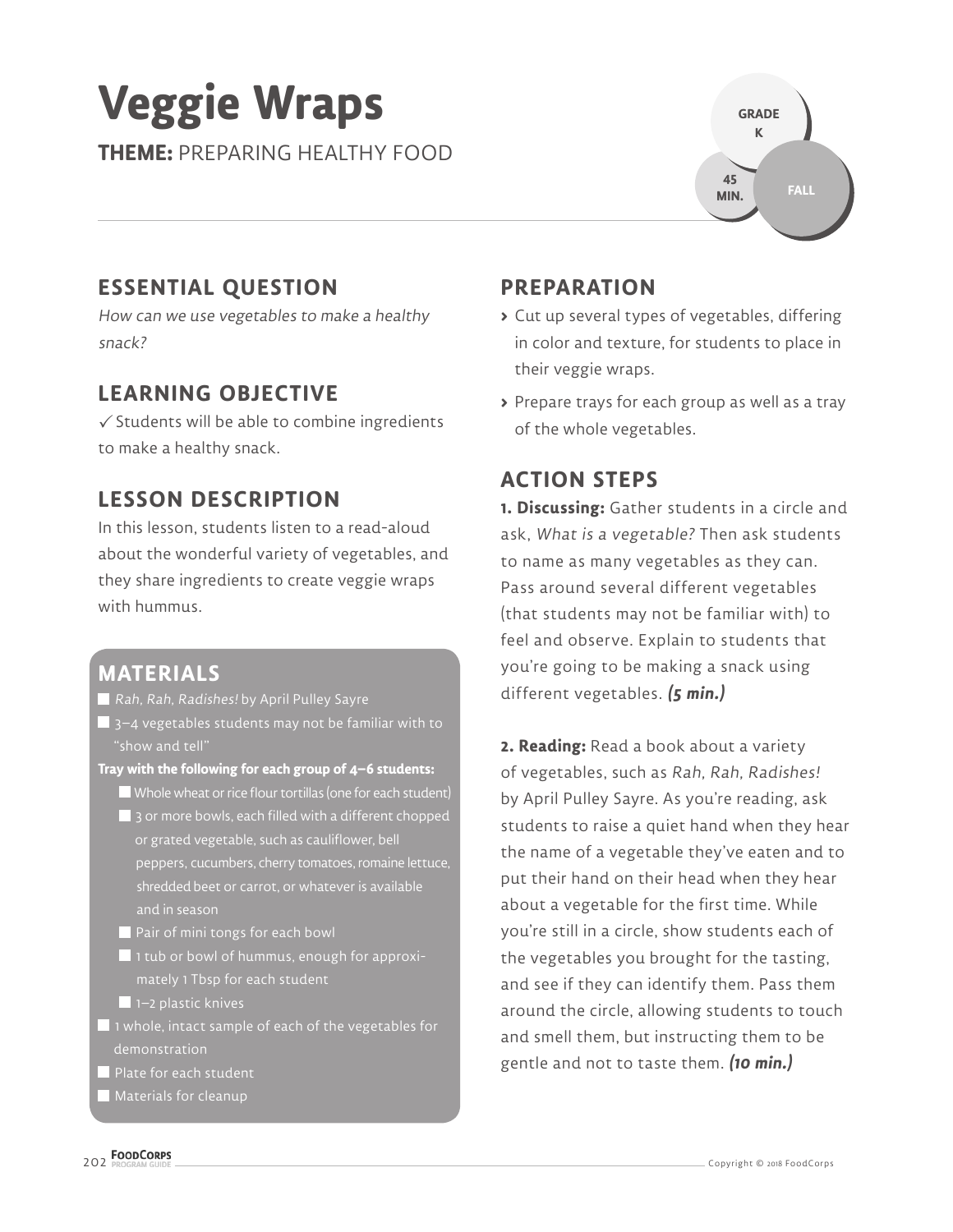# **Veggie Wraps**

**THEME:** PREPARING HEALTHY FOOD



## **ESSENTIAL QUESTION**

How can we use vegetables to make a healthy snack?

## **LEARNING OBJECTIVE**

 $\checkmark$  Students will be able to combine ingredients to make a healthy snack.

## **LESSON DESCRIPTION**

In this lesson, students listen to a read-aloud about the wonderful variety of vegetables, and they share ingredients to create veggie wraps with hummus.

## **MATERIALS**

Rah, Rah, Radishes! by April Pulley Sayre

- $\blacksquare$  3–4 vegetables students may not be familiar with to "show and tell"
- **Tray with the following for each group of 4–6 students:**
	- Whole wheat or rice flour tortillas (one for each student) 3 or more bowls, each filled with a different chopped or grated vegetable, such as cauliflower, bell peppers, cucumbers, cherry tomatoes, romaine lettuce, shredded beet or carrot, or whatever is available and in season
	- Pair of mini tongs for each bowl
	- 1 tub or bowl of hummus, enough for approximately 1 Tbsp for each student
	- $\blacksquare$  1–2 plastic knives
- $\blacksquare$  1 whole, intact sample of each of the vegetables for demonstration
- Plate for each student
- $\blacksquare$  Materials for cleanup

## **PREPARATION**

- **>** Cut up several types of vegetables, differing in color and texture, for students to place in their veggie wraps.
- **>** Prepare trays for each group as well as a tray of the whole vegetables.

# **ACTION STEPS**

**1. Discussing:** Gather students in a circle and ask, What is a vegetable? Then ask students to name as many vegetables as they can. Pass around several different vegetables (that students may not be familiar with) to feel and observe. Explain to students that you're going to be making a snack using different vegetables. **(5 min.)**

**2. Reading:** Read a book about a variety of vegetables, such as Rah, Rah, Radishes! by April Pulley Sayre. As you're reading, ask students to raise a quiet hand when they hear the name of a vegetable they've eaten and to put their hand on their head when they hear about a vegetable for the first time. While you're still in a circle, show students each of the vegetables you brought for the tasting, and see if they can identify them. Pass them around the circle, allowing students to touch and smell them, but instructing them to be gentle and not to taste them. **(10 min.)**